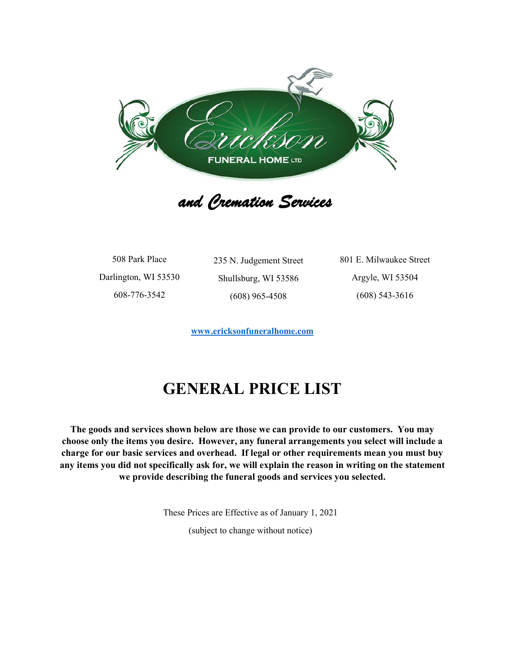

 *and Cremation Services* 

508 Park Place Darlington, WI 53530 608-776-3542

235 N. Judgement Street Shullsburg, WI 53586 (608) 965-4508

801 E. Milwaukee Street Argyle, WI 53504 (608) 543-3616

**[www.ericksonfuneralhome.com](http://www.ericksonfuneralhome.com/)**

## **GENERAL PRICE LIST**

**The goods and services shown below are those we can provide to our customers. You may choose only the items you desire. However, any funeral arrangements you select will include a charge for our basic services and overhead. If legal or other requirements mean you must buy any items you did not specifically ask for, we will explain the reason in writing on the statement we provide describing the funeral goods and services you selected.**

These Prices are Effective as of January 1, 2021

(subject to change without notice)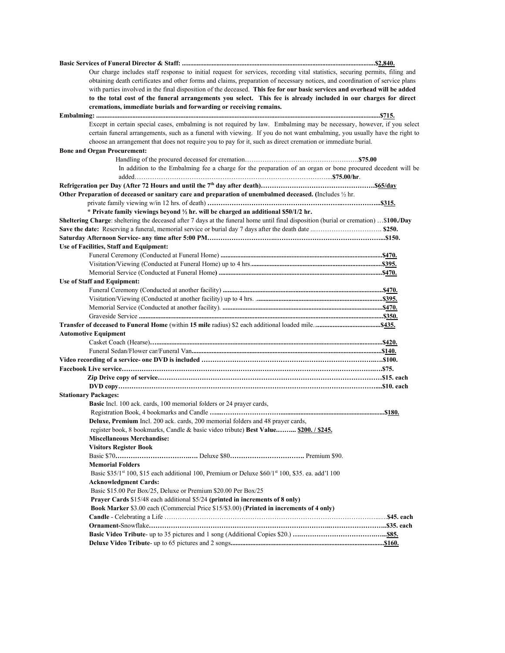| Our charge includes staff response to initial request for services, recording vital statistics, securing permits, filing and          |  |
|---------------------------------------------------------------------------------------------------------------------------------------|--|
| obtaining death certificates and other forms and claims, preparation of necessary notices, and coordination of service plans          |  |
| with parties involved in the final disposition of the deceased. This fee for our basic services and overhead will be added            |  |
| to the total cost of the funeral arrangements you select. This fee is already included in our charges for direct                      |  |
| cremations, immediate burials and forwarding or receiving remains.                                                                    |  |
|                                                                                                                                       |  |
| Except in certain special cases, embalming is not required by law. Embalming may be necessary, however, if you select                 |  |
| certain funeral arrangements, such as a funeral with viewing. If you do not want embalming, you usually have the right to             |  |
| choose an arrangement that does not require you to pay for it, such as direct cremation or immediate burial.                          |  |
| <b>Bone and Organ Procurement:</b>                                                                                                    |  |
|                                                                                                                                       |  |
| In addition to the Embalming fee a charge for the preparation of an organ or bone procured decedent will be                           |  |
|                                                                                                                                       |  |
| Other Preparation of deceased or sanitary care and preparation of unembalmed deceased. (Includes $\frac{1}{2}$ hr.                    |  |
|                                                                                                                                       |  |
| * Private family viewings beyond 1/2 hr. will be charged an additional \$50/1/2 hr.                                                   |  |
| Sheltering Charge: sheltering the deceased after 7 days at the funeral home until final disposition (burial or cremation)  \$100./Day |  |
|                                                                                                                                       |  |
|                                                                                                                                       |  |
| Use of Facilities, Staff and Equipment:                                                                                               |  |
|                                                                                                                                       |  |
|                                                                                                                                       |  |
|                                                                                                                                       |  |
| <b>Use of Staff and Equipment:</b>                                                                                                    |  |
|                                                                                                                                       |  |
|                                                                                                                                       |  |
|                                                                                                                                       |  |
|                                                                                                                                       |  |
|                                                                                                                                       |  |
| <b>Automotive Equipment</b>                                                                                                           |  |
|                                                                                                                                       |  |
|                                                                                                                                       |  |
|                                                                                                                                       |  |
|                                                                                                                                       |  |
|                                                                                                                                       |  |
|                                                                                                                                       |  |
| <b>Stationary Packages:</b>                                                                                                           |  |
| <b>Basic</b> Incl. 100 ack. cards, 100 memorial folders or 24 prayer cards,                                                           |  |
|                                                                                                                                       |  |
| Deluxe, Premium Incl. 200 ack. cards, 200 memorial folders and 48 prayer cards,                                                       |  |
| register book, 8 bookmarks, Candle & basic video tribute) Best Value \$200. / \$245.                                                  |  |
| Miscellaneous Merchandise:                                                                                                            |  |
| <b>Visitors Register Book</b>                                                                                                         |  |
|                                                                                                                                       |  |
| <b>Memorial Folders</b>                                                                                                               |  |
| Basic \$35/1st 100, \$15 each additional 100, Premium or Deluxe \$60/1st 100, \$35. ea. add'1 100                                     |  |
| <b>Acknowledgment Cards:</b>                                                                                                          |  |
| Basic \$15.00 Per Box/25, Deluxe or Premium \$20.00 Per Box/25                                                                        |  |
| Prayer Cards \$15/48 each additional \$5/24 (printed in increments of 8 only)                                                         |  |
| Book Marker \$3.00 each (Commercial Price \$15/\$3.00) (Printed in increments of 4 only)                                              |  |
|                                                                                                                                       |  |
|                                                                                                                                       |  |
|                                                                                                                                       |  |
|                                                                                                                                       |  |
|                                                                                                                                       |  |